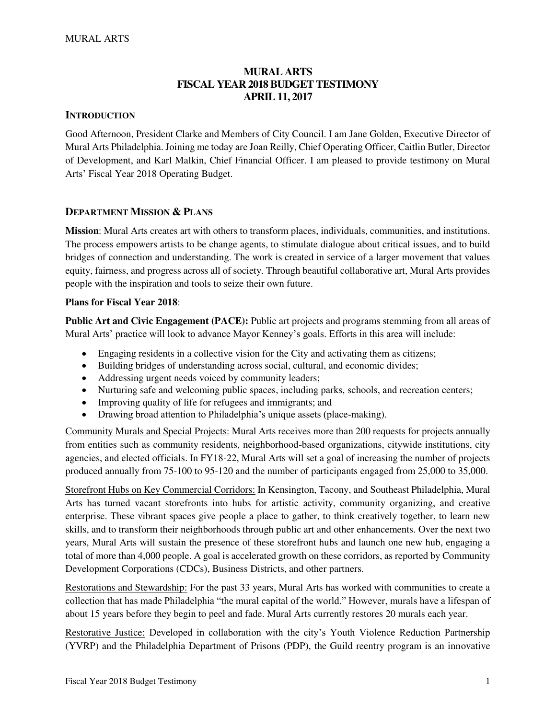## **MURAL ARTS FISCAL YEAR 2018 BUDGET TESTIMONY APRIL 11, 2017**

### **INTRODUCTION**

Good Afternoon, President Clarke and Members of City Council. I am Jane Golden, Executive Director of Mural Arts Philadelphia. Joining me today are Joan Reilly, Chief Operating Officer, Caitlin Butler, Director of Development, and Karl Malkin, Chief Financial Officer. I am pleased to provide testimony on Mural Arts' Fiscal Year 2018 Operating Budget.

#### **DEPARTMENT MISSION & PLANS**

**Mission**: Mural Arts creates art with others to transform places, individuals, communities, and institutions. The process empowers artists to be change agents, to stimulate dialogue about critical issues, and to build bridges of connection and understanding. The work is created in service of a larger movement that values equity, fairness, and progress across all of society. Through beautiful collaborative art, Mural Arts provides people with the inspiration and tools to seize their own future.

### **Plans for Fiscal Year 2018**:

**Public Art and Civic Engagement (PACE):** Public art projects and programs stemming from all areas of Mural Arts' practice will look to advance Mayor Kenney's goals. Efforts in this area will include:

- Engaging residents in a collective vision for the City and activating them as citizens;
- Building bridges of understanding across social, cultural, and economic divides;
- Addressing urgent needs voiced by community leaders;
- Nurturing safe and welcoming public spaces, including parks, schools, and recreation centers;
- Improving quality of life for refugees and immigrants; and
- Drawing broad attention to Philadelphia's unique assets (place-making).

Community Murals and Special Projects: Mural Arts receives more than 200 requests for projects annually from entities such as community residents, neighborhood-based organizations, citywide institutions, city agencies, and elected officials. In FY18-22, Mural Arts will set a goal of increasing the number of projects produced annually from 75-100 to 95-120 and the number of participants engaged from 25,000 to 35,000.

Storefront Hubs on Key Commercial Corridors: In Kensington, Tacony, and Southeast Philadelphia, Mural Arts has turned vacant storefronts into hubs for artistic activity, community organizing, and creative enterprise. These vibrant spaces give people a place to gather, to think creatively together, to learn new skills, and to transform their neighborhoods through public art and other enhancements. Over the next two years, Mural Arts will sustain the presence of these storefront hubs and launch one new hub, engaging a total of more than 4,000 people. A goal is accelerated growth on these corridors, as reported by Community Development Corporations (CDCs), Business Districts, and other partners.

Restorations and Stewardship: For the past 33 years, Mural Arts has worked with communities to create a collection that has made Philadelphia "the mural capital of the world." However, murals have a lifespan of about 15 years before they begin to peel and fade. Mural Arts currently restores 20 murals each year.

Restorative Justice: Developed in collaboration with the city's Youth Violence Reduction Partnership (YVRP) and the Philadelphia Department of Prisons (PDP), the Guild reentry program is an innovative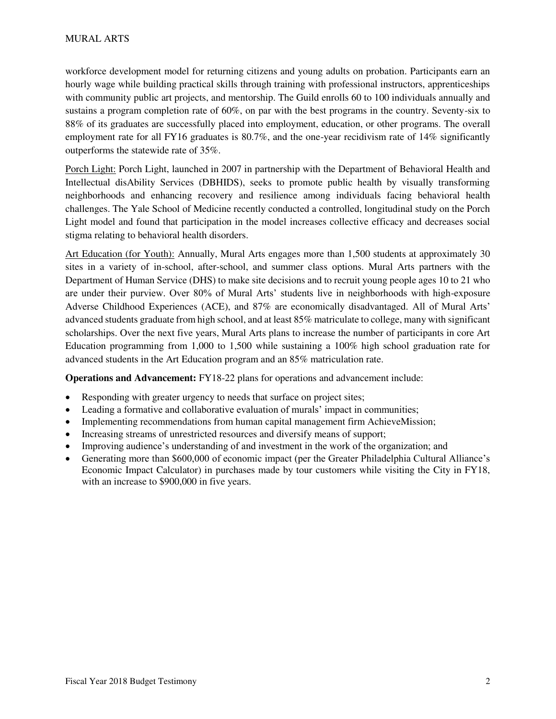workforce development model for returning citizens and young adults on probation. Participants earn an hourly wage while building practical skills through training with professional instructors, apprenticeships with community public art projects, and mentorship. The Guild enrolls 60 to 100 individuals annually and sustains a program completion rate of 60%, on par with the best programs in the country. Seventy-six to 88% of its graduates are successfully placed into employment, education, or other programs. The overall employment rate for all FY16 graduates is 80.7%, and the one-year recidivism rate of 14% significantly outperforms the statewide rate of 35%.

Porch Light: Porch Light, launched in 2007 in partnership with the Department of Behavioral Health and Intellectual disAbility Services (DBHIDS), seeks to promote public health by visually transforming neighborhoods and enhancing recovery and resilience among individuals facing behavioral health challenges. The Yale School of Medicine recently conducted a controlled, longitudinal study on the Porch Light model and found that participation in the model increases collective efficacy and decreases social stigma relating to behavioral health disorders.

Art Education (for Youth): Annually, Mural Arts engages more than 1,500 students at approximately 30 sites in a variety of in-school, after-school, and summer class options. Mural Arts partners with the Department of Human Service (DHS) to make site decisions and to recruit young people ages 10 to 21 who are under their purview. Over 80% of Mural Arts' students live in neighborhoods with high-exposure Adverse Childhood Experiences (ACE), and 87% are economically disadvantaged. All of Mural Arts' advanced students graduate from high school, and at least 85% matriculate to college, many with significant scholarships. Over the next five years, Mural Arts plans to increase the number of participants in core Art Education programming from 1,000 to 1,500 while sustaining a 100% high school graduation rate for advanced students in the Art Education program and an 85% matriculation rate.

**Operations and Advancement:** FY18-22 plans for operations and advancement include:

- Responding with greater urgency to needs that surface on project sites;
- Leading a formative and collaborative evaluation of murals' impact in communities;
- Implementing recommendations from human capital management firm AchieveMission;
- Increasing streams of unrestricted resources and diversify means of support;
- Improving audience's understanding of and investment in the work of the organization; and
- Generating more than \$600,000 of economic impact (per the Greater Philadelphia Cultural Alliance's Economic Impact Calculator) in purchases made by tour customers while visiting the City in FY18, with an increase to \$900,000 in five years.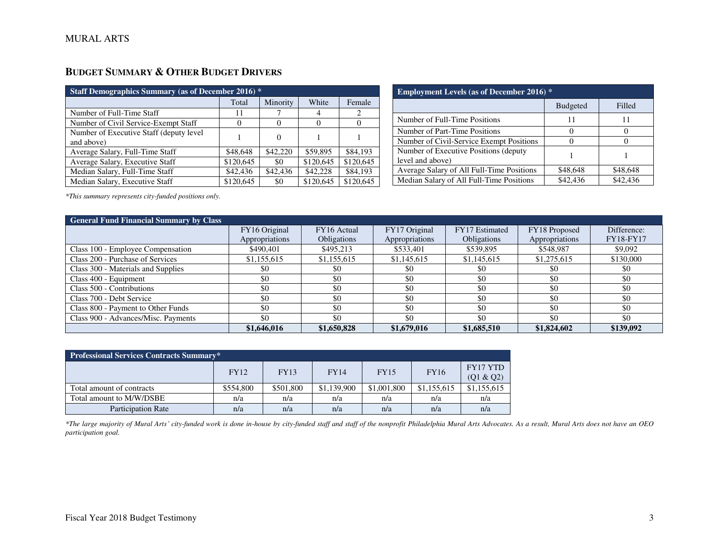## **BUDGET SUMMARY & OTHER BUDGET DRIVERS**

| <b>Staff Demographics Summary (as of December 2016)</b> * |           |          |           |           |  |  |
|-----------------------------------------------------------|-----------|----------|-----------|-----------|--|--|
|                                                           | Total     | Minority | White     | Female    |  |  |
| Number of Full-Time Staff                                 | 11        |          | 4         | 2         |  |  |
| Number of Civil Service-Exempt Staff                      |           |          |           |           |  |  |
| Number of Executive Staff (deputy level)<br>and above)    |           |          |           |           |  |  |
| Average Salary, Full-Time Staff                           | \$48,648  | \$42,220 | \$59,895  | \$84,193  |  |  |
| Average Salary, Executive Staff                           | \$120,645 | \$0      | \$120,645 | \$120,645 |  |  |
| Median Salary, Full-Time Staff                            | \$42,436  | \$42,436 | \$42,228  | \$84,193  |  |  |
| Median Salary, Executive Staff                            | \$120,645 | \$0      | \$120,645 | \$120,645 |  |  |

| <b>Employment Levels (as of December 2016)</b> *          |                 |          |  |  |  |
|-----------------------------------------------------------|-----------------|----------|--|--|--|
|                                                           | <b>Budgeted</b> | Filled   |  |  |  |
| Number of Full-Time Positions                             |                 | 11       |  |  |  |
| Number of Part-Time Positions                             |                 |          |  |  |  |
| Number of Civil-Service Exempt Positions                  |                 |          |  |  |  |
| Number of Executive Positions (deputy<br>level and above) |                 |          |  |  |  |
| Average Salary of All Full-Time Positions                 | \$48,648        | \$48,648 |  |  |  |
| Median Salary of All Full-Time Positions                  | \$42,436        | \$42,436 |  |  |  |

*\*This summary represents city-funded positions only.* 

| <b>General Fund Financial Summary by Class</b> |                |             |                |                    |                |                  |
|------------------------------------------------|----------------|-------------|----------------|--------------------|----------------|------------------|
|                                                | FY16 Original  | FY16 Actual | FY17 Original  | FY17 Estimated     | FY18 Proposed  | Difference:      |
|                                                | Appropriations | Obligations | Appropriations | <b>Obligations</b> | Appropriations | <b>FY18-FY17</b> |
| Class 100 - Employee Compensation              | \$490,401      | \$495,213   | \$533,401      | \$539,895          | \$548,987      | \$9,092          |
| Class 200 - Purchase of Services               | \$1,155,615    | \$1,155,615 | \$1,145,615    | \$1,145,615        | \$1,275,615    | \$130,000        |
| Class 300 - Materials and Supplies             | \$0            | \$0         | \$0            | \$0                | \$0            | \$0              |
| Class 400 - Equipment                          | \$0            | \$0         | \$0            | \$0                | \$0            | \$0              |
| Class 500 - Contributions                      | \$0            | \$0         | \$0            | \$0                | \$0            | \$0              |
| Class 700 - Debt Service                       | \$0            | \$0         | \$0            | \$0                | \$0            | \$0              |
| Class 800 - Payment to Other Funds             | \$0            | \$0         | \$0            | \$0                | \$0            | \$0              |
| Class 900 - Advances/Misc. Payments            | \$0            | \$0         | \$0            | \$0                | \$0            | \$0              |
|                                                | \$1,646,016    | \$1,650,828 | \$1,679,016    | \$1,685,510        | \$1,824,602    | \$139,092        |

| Professional Services Contracts Summary* |             |             |             |             |             |                              |  |
|------------------------------------------|-------------|-------------|-------------|-------------|-------------|------------------------------|--|
|                                          | <b>FY12</b> | <b>FY13</b> | <b>FY14</b> | <b>FY15</b> | <b>FY16</b> | <b>FY17 YTD</b><br>(Q1 & Q2) |  |
| Total amount of contracts                | \$554,800   | \$501,800   | \$1,139,900 | \$1,001,800 | \$1,155,615 | \$1,155,615                  |  |
| Total amount to M/W/DSBE                 | n/a         | n/a         | n/a         | n/a         | n/a         | n/a                          |  |
| <b>Participation Rate</b>                | n/a         | n/a         | n/a         | n/a         | n/a         | n/a                          |  |

*\*The large majority of Mural Arts' city-funded work is done in-house by city-funded staff and staff of the nonprofit Philadelphia Mural Arts Advocates. As a result, Mural Arts does not have an OEO participation goal.*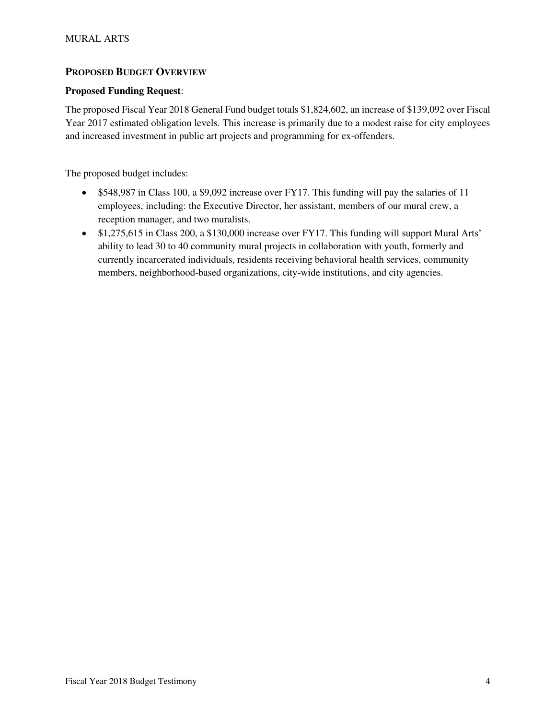### **PROPOSED BUDGET OVERVIEW**

### **Proposed Funding Request**:

The proposed Fiscal Year 2018 General Fund budget totals \$1,824,602, an increase of \$139,092 over Fiscal Year 2017 estimated obligation levels. This increase is primarily due to a modest raise for city employees and increased investment in public art projects and programming for ex-offenders.

The proposed budget includes:

- $\bullet$  \$548,987 in Class 100, a \$9,092 increase over FY17. This funding will pay the salaries of 11 employees, including: the Executive Director, her assistant, members of our mural crew, a reception manager, and two muralists.
- \$1,275,615 in Class 200, a \$130,000 increase over FY17. This funding will support Mural Arts' ability to lead 30 to 40 community mural projects in collaboration with youth, formerly and currently incarcerated individuals, residents receiving behavioral health services, community members, neighborhood-based organizations, city-wide institutions, and city agencies.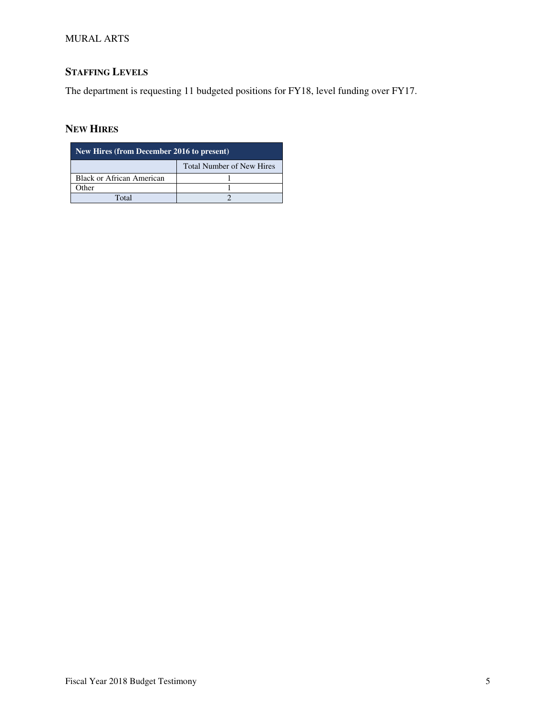### MURAL ARTS

# **STAFFING LEVELS**

The department is requesting 11 budgeted positions for FY18, level funding over FY17.

## **NEW HIRES**

| New Hires (from December 2016 to present) |                                  |  |  |  |  |
|-------------------------------------------|----------------------------------|--|--|--|--|
|                                           | <b>Total Number of New Hires</b> |  |  |  |  |
| <b>Black or African American</b>          |                                  |  |  |  |  |
| Other                                     |                                  |  |  |  |  |
| Total                                     |                                  |  |  |  |  |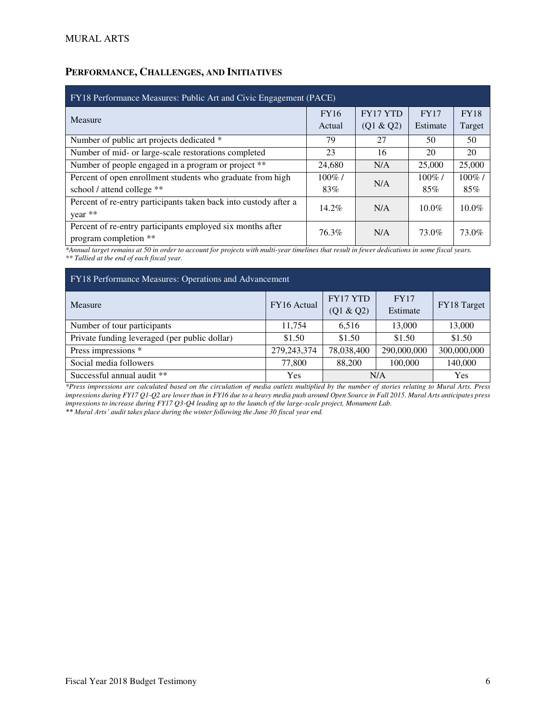## **PERFORMANCE, CHALLENGES, AND INITIATIVES**

| FY18 Performance Measures: Public Art and Civic Engagement (PACE) |             |                 |             |             |  |  |
|-------------------------------------------------------------------|-------------|-----------------|-------------|-------------|--|--|
| Measure                                                           | <b>FY16</b> | <b>FY17 YTD</b> | <b>FY17</b> | <b>FY18</b> |  |  |
|                                                                   | Actual      | (Q1 & Q2)       | Estimate    | Target      |  |  |
| Number of public art projects dedicated *                         | 79          | 27              | 50          | 50          |  |  |
| Number of mid- or large-scale restorations completed              | 23          | 16              | 20          | 20          |  |  |
| Number of people engaged in a program or project **               | 24,680      | N/A             | 25,000      | 25,000      |  |  |
| Percent of open enrollment students who graduate from high        | $100\%$ /   | N/A             | $100\%$ /   | $100\%$ /   |  |  |
| school / attend college **                                        | 83%         |                 | 85%         | 85%         |  |  |
| Percent of re-entry participants taken back into custody after a  | $14.2\%$    | N/A             | $10.0\%$    | $10.0\%$    |  |  |
| year **                                                           |             |                 |             |             |  |  |
| Percent of re-entry participants employed six months after        | 76.3%       | N/A             | 73.0%       | 73.0%       |  |  |
| program completion **                                             |             |                 |             |             |  |  |

*\*Annual target remains at 50 in order to account for projects with multi-year timelines that result in fewer dedications in some fiscal years. \*\* Tallied at the end of each fiscal year.* 

| FY18 Performance Measures: Operations and Advancement |               |                       |                         |             |  |  |
|-------------------------------------------------------|---------------|-----------------------|-------------------------|-------------|--|--|
| Measure                                               | FY16 Actual   | FY17 YTD<br>(Q1 & Q2) | <b>FY17</b><br>Estimate | FY18 Target |  |  |
| Number of tour participants                           | 11,754        | 6,516                 | 13,000                  | 13,000      |  |  |
| Private funding leveraged (per public dollar)         | \$1.50        | \$1.50                | \$1.50                  | \$1.50      |  |  |
| Press impressions *                                   | 279, 243, 374 | 78,038,400            | 290,000,000             | 300,000,000 |  |  |
| Social media followers                                | 77,800        | 88,200                | 100,000                 | 140,000     |  |  |
| Successful annual audit **                            | Yes           | N/A                   | Yes                     |             |  |  |

*\*Press impressions are calculated based on the circulation of media outlets multiplied by the number of stories relating to Mural Arts. Press impressions during FY17 Q1-Q2 are lower than in FY16 due to a heavy media push around Open Source in Fall 2015. Mural Arts anticipates press impressions to increase during FY17 Q3-Q4 leading up to the launch of the large-scale project, Monument Lab.* 

*\*\* Mural Arts' audit takes place during the winter following the June 30 fiscal year end.*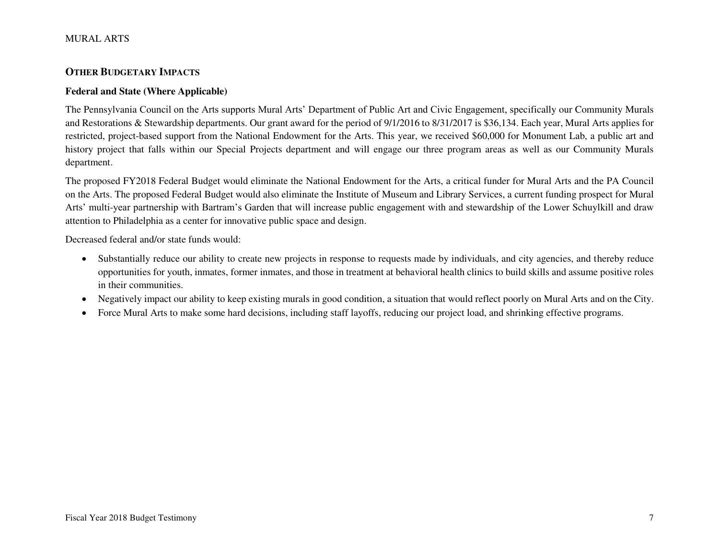#### MURAL ARTS

### **OTHER BUDGETARY IMPACTS**

#### **Federal and State (Where Applicable)**

The Pennsylvania Council on the Arts supports Mural Arts' Department of Public Art and Civic Engagement, specifically our Community Murals and Restorations & Stewardship departments. Our grant award for the period of 9/1/2016 to 8/31/2017 is \$36,134. Each year, Mural Arts applies for restricted, project-based support from the National Endowment for the Arts. This year, we received \$60,000 for Monument Lab, a public art and history project that falls within our Special Projects department and will engage our three program areas as well as our Community Murals department.

The proposed FY2018 Federal Budget would eliminate the National Endowment for the Arts, a critical funder for Mural Arts and the PA Council on the Arts. The proposed Federal Budget would also eliminate the Institute of Museum and Library Services, a current funding prospect for Mural Arts' multi-year partnership with Bartram's Garden that will increase public engagement with and stewardship of the Lower Schuylkill and draw attention to Philadelphia as a center for innovative public space and design.

Decreased federal and/or state funds would:

- Substantially reduce our ability to create new projects in response to requests made by individuals, and city agencies, and thereby reduce opportunities for youth, inmates, former inmates, and those in treatment at behavioral health clinics to build skills and assume positive roles in their communities.
- Negatively impact our ability to keep existing murals in good condition, a situation that would reflect poorly on Mural Arts and on the City.
- Force Mural Arts to make some hard decisions, including staff layoffs, reducing our project load, and shrinking effective programs.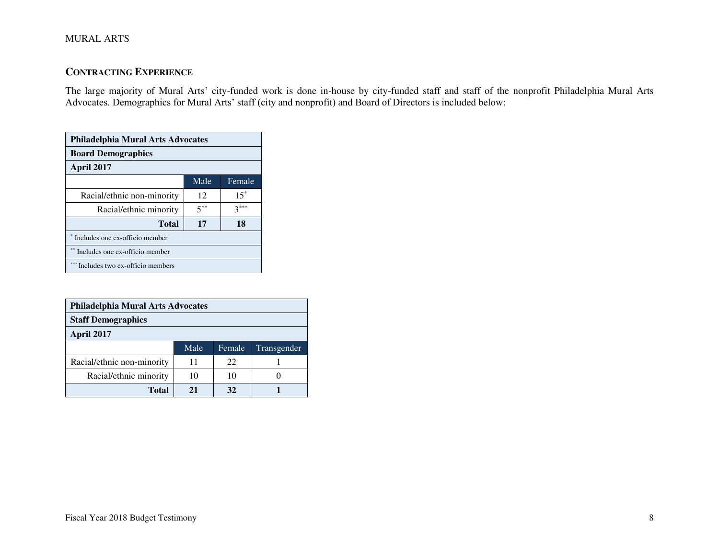### MURAL ARTS

### **CONTRACTING EXPERIENCE**

The large majority of Mural Arts' city-funded work is done in-house by city-funded staff and staff of the nonprofit Philadelphia Mural Arts Advocates. Demographics for Mural Arts' staff (city and nonprofit) and Board of Directors is included below:

| Philadelphia Mural Arts Advocates |          |        |  |  |  |
|-----------------------------------|----------|--------|--|--|--|
| <b>Board Demographics</b>         |          |        |  |  |  |
| April 2017                        |          |        |  |  |  |
|                                   | Male     | Female |  |  |  |
| Racial/ethnic non-minority        | 12       | $15*$  |  |  |  |
| Racial/ethnic minority            | $5^{**}$ | $3***$ |  |  |  |
| 18<br>Total<br>17                 |          |        |  |  |  |
| * Includes one ex-officio member  |          |        |  |  |  |
| Includes one ex-officio member    |          |        |  |  |  |
| Includes two ex-officio members   |          |        |  |  |  |

| <b>Philadelphia Mural Arts Advocates</b> |      |        |             |  |  |
|------------------------------------------|------|--------|-------------|--|--|
| <b>Staff Demographics</b>                |      |        |             |  |  |
| April 2017                               |      |        |             |  |  |
|                                          | Male | Female | Transgender |  |  |
| Racial/ethnic non-minority               | 11   | 22     |             |  |  |
| Racial/ethnic minority                   | 10   | 10     |             |  |  |
| Total                                    | 21   | 32     |             |  |  |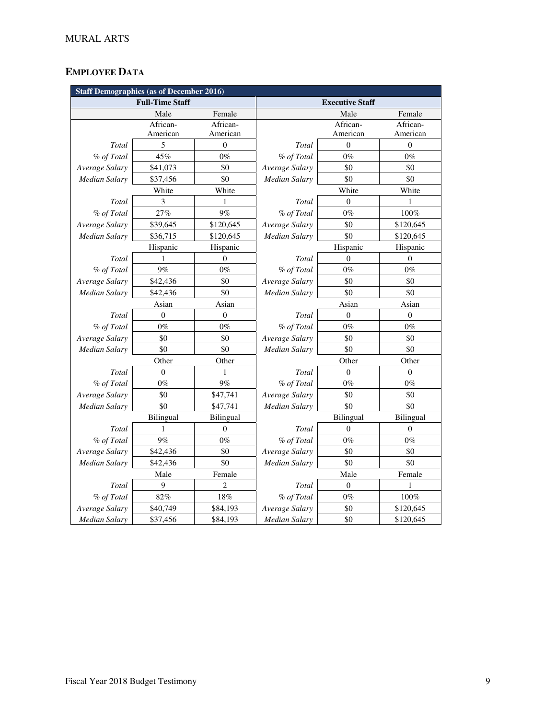# **EMPLOYEE DATA**

| <b>Staff Demographics (as of December 2016)</b> |              |                |                      |                        |              |
|-------------------------------------------------|--------------|----------------|----------------------|------------------------|--------------|
| <b>Full-Time Staff</b>                          |              |                |                      | <b>Executive Staff</b> |              |
|                                                 | Male         | Female         |                      | Male                   | Female       |
|                                                 | African-     | African-       |                      | African-               | African-     |
|                                                 | American     | American       |                      | American               | American     |
| Total                                           | 5            | $\mathbf{0}$   | Total                | $\theta$               | $\mathbf{0}$ |
| % of Total                                      | 45%          | $0\%$          | % of Total           | $0\%$                  | $0\%$        |
| Average Salary                                  | \$41,073     | \$0            | Average Salary       | \$0                    | \$0          |
| Median Salary                                   | \$37,456     | \$0            | Median Salary        | \$0                    | \$0          |
|                                                 | White        | White          |                      | White                  | White        |
| Total                                           | 3            | 1              | Total                | $\Omega$               | 1            |
| % of Total                                      | 27%          | 9%             | % of Total           | $0\%$                  | 100%         |
| Average Salary                                  | \$39,645     | \$120,645      | Average Salary       | \$0                    | \$120,645    |
| Median Salary                                   | \$36,715     | \$120,645      | Median Salary        | \$0                    | \$120,645    |
|                                                 | Hispanic     | Hispanic       |                      | Hispanic               | Hispanic     |
| Total                                           | 1            | $\Omega$       | Total                | $\theta$               | $\Omega$     |
| % of Total                                      | 9%           | $0\%$          | % of Total           | $0\%$                  | $0\%$        |
| Average Salary                                  | \$42,436     | \$0            | Average Salary       | \$0                    | \$0          |
| Median Salary                                   | \$42,436     | \$0            | Median Salary        | \$0                    | \$0          |
|                                                 | Asian        | Asian          | Asian                |                        | Asian        |
| Total                                           | $\mathbf{0}$ | $\theta$       | Total                | $\mathbf{0}$           | $\theta$     |
| % of Total                                      | $0\%$        | $0\%$          | % of Total           | $0\%$                  | $0\%$        |
| Average Salary                                  | \$0          | \$0            | Average Salary       | \$0                    | \$0          |
| Median Salary                                   | \$0          | \$0            | Median Salary        | \$0                    | \$0          |
|                                                 | Other        | Other          |                      | Other                  | Other        |
| Total                                           | $\Omega$     | 1              | Total                | $\Omega$               | $\theta$     |
| % of Total                                      | $0\%$        | 9%             | % of Total           | $0\%$                  | $0\%$        |
| Average Salary                                  | \$0          | \$47,741       | Average Salary       | \$0                    | \$0          |
| Median Salary                                   | \$0          | \$47,741       | <b>Median Salary</b> | \$0                    | \$0          |
|                                                 | Bilingual    | Bilingual      |                      | Bilingual              | Bilingual    |
| Total                                           | 1            | $\mathbf{0}$   | Total                | $\mathbf{0}$           | $\theta$     |
| % of Total                                      | 9%           | $0\%$          | % of Total           | $0\%$                  | $0\%$        |
| Average Salary                                  | \$42,436     | \$0            | Average Salary       | \$0                    | \$0          |
| Median Salary                                   | \$42,436     | \$0            | Median Salary        | \$0                    | \$0          |
|                                                 | Male         | Female         |                      | Male                   | Female       |
| Total                                           | 9            | $\overline{c}$ | Total                | $\mathbf{0}$           | 1            |
| % of Total                                      | 82%          | 18%            | % of Total           | $0\%$                  | 100%         |
| Average Salary                                  | \$40,749     | \$84,193       | Average Salary       | \$0                    | \$120,645    |
| <b>Median Salary</b>                            | \$37,456     | \$84,193       | <b>Median Salary</b> | \$0                    | \$120,645    |